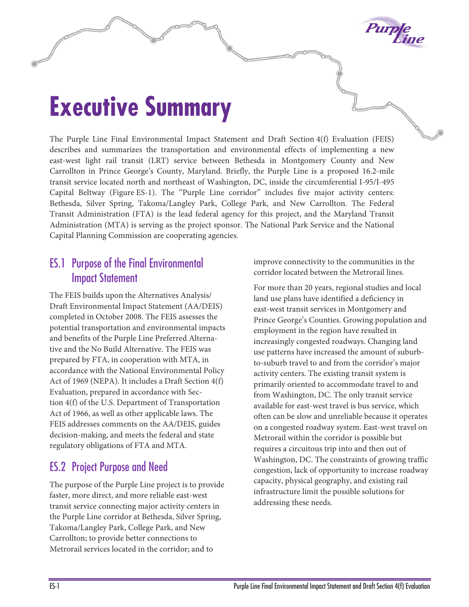

# **Executive Summary**

The Purple Line Final Environmental Impact Statement and Draft Section 4(f) Evaluation (FEIS) describes and summarizes the transportation and environmental effects of implementing a new east-west light rail transit (LRT) service between Bethesda in Montgomery County and New Carrollton in Prince George's County, Maryland. Briefly, the Purple Line is a proposed 16.2-mile transit service located north and northeast of Washington, DC, inside the circumferential I-95/I-495 Capital Beltway (Figure ES-1). The "Purple Line corridor" includes five major activity centers: Bethesda, Silver Spring, Takoma/Langley Park, College Park, and New Carrollton. The Federal Transit Administration (FTA) is the lead federal agency for this project, and the Maryland Transit Administration (MTA) is serving as the project sponsor. The National Park Service and the National Capital Planning Commission are cooperating agencies.

# ES.1 Purpose of the Final Environmental Impact Statement

The FEIS builds upon the Alternatives Analysis/ Draft Environmental Impact Statement (AA/DEIS) completed in October 2008. The FEIS assesses the potential transportation and environmental impacts and benefits of the Purple Line Preferred Alternative and the No Build Alternative. The FEIS was prepared by FTA, in cooperation with MTA, in accordance with the National Environmental Policy Act of 1969 (NEPA). It includes a Draft Section 4(f) Evaluation, prepared in accordance with Section 4(f) of the U.S. Department of Transportation Act of 1966, as well as other applicable laws. The FEIS addresses comments on the AA/DEIS, guides decision-making, and meets the federal and state regulatory obligations of FTA and MTA.

# ES.2 Project Purpose and Need

The purpose of the Purple Line project is to provide faster, more direct, and more reliable east-west transit service connecting major activity centers in the Purple Line corridor at Bethesda, Silver Spring, Takoma/Langley Park, College Park, and New Carrollton; to provide better connections to Metrorail services located in the corridor; and to

improve connectivity to the communities in the corridor located between the Metrorail lines.

For more than 20 years, regional studies and local land use plans have identified a deficiency in east-west transit services in Montgomery and Prince George's Counties. Growing population and employment in the region have resulted in increasingly congested roadways. Changing land use patterns have increased the amount of suburbto-suburb travel to and from the corridor's major activity centers. The existing transit system is primarily oriented to accommodate travel to and from Washington, DC. The only transit service available for east-west travel is bus service, which often can be slow and unreliable because it operates on a congested roadway system. East-west travel on Metrorail within the corridor is possible but requires a circuitous trip into and then out of Washington, DC. The constraints of growing traffic congestion, lack of opportunity to increase roadway capacity, physical geography, and existing rail infrastructure limit the possible solutions for addressing these needs.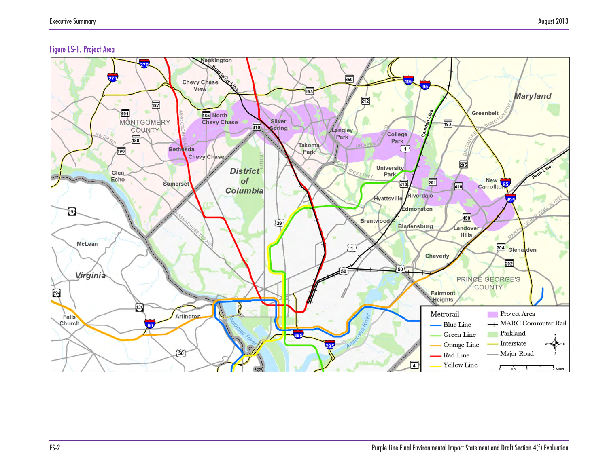#### Figure ES-1. Project Area

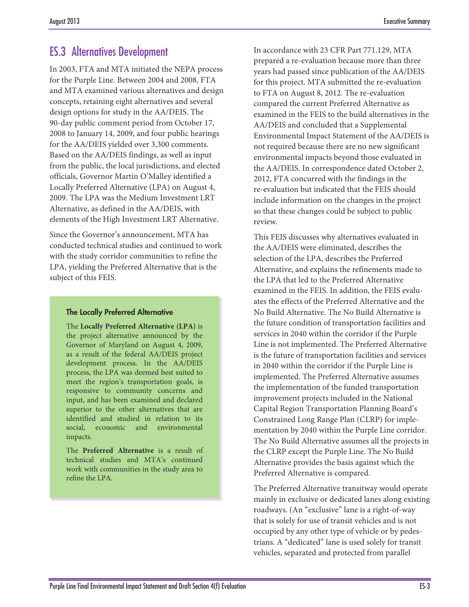# ES.3 Alternatives Development

In 2003, FTA and MTA initiated the NEPA process for the Purple Line. Between 2004 and 2008, FTA and MTA examined various alternatives and design concepts, retaining eight alternatives and several design options for study in the AA/DEIS. The 90-day public comment period from October 17, 2008 to January 14, 2009, and four public hearings for the AA/DEIS yielded over 3,300 comments. Based on the AA/DEIS findings, as well as input from the public, the local jurisdictions, and elected officials, Governor Martin O'Malley identified a Locally Preferred Alternative (LPA) on August 4, 2009. The LPA was the Medium Investment LRT Alternative, as defined in the AA/DEIS, with elements of the High Investment LRT Alternative.

Since the Governor's announcement, MTA has conducted technical studies and continued to work with the study corridor communities to refine the LPA, yielding the Preferred Alternative that is the subject of this FEIS.

#### The Locally Preferred Alternative

The **Locally Preferred Alternative (LPA)** is the project alternative announced by the Governor of Maryland on August 4, 2009, as a result of the federal AA/DEIS project development process. In the AA/DEIS process, the LPA was deemed best suited to meet the region's transportation goals, is responsive to community concerns and input, and has been examined and declared superior to the other alternatives that are identified and studied in relation to its social, economic and environmental impacts.

The **Preferred Alternative** is a result of technical studies and MTA's continued work with communities in the study area to refine the LPA.

In accordance with 23 CFR Part 771.129, MTA prepared a re-evaluation because more than three years had passed since publication of the AA/DEIS for this project. MTA submitted the re-evaluation to FTA on August 8, 2012. The re-evaluation compared the current Preferred Alternative as examined in the FEIS to the build alternatives in the AA/DEIS and concluded that a Supplemental Environmental Impact Statement of the AA/DEIS is not required because there are no new significant environmental impacts beyond those evaluated in the AA/DEIS. In correspondence dated October 2, 2012, FTA concurred with the findings in the re-evaluation but indicated that the FEIS should include information on the changes in the project so that these changes could be subject to public review.

This FEIS discusses why alternatives evaluated in the AA/DEIS were eliminated, describes the selection of the LPA, describes the Preferred Alternative, and explains the refinements made to the LPA that led to the Preferred Alternative examined in the FEIS. In addition, the FEIS evaluates the effects of the Preferred Alternative and the No Build Alternative. The No Build Alternative is the future condition of transportation facilities and services in 2040 within the corridor if the Purple Line is not implemented. The Preferred Alternative is the future of transportation facilities and services in 2040 within the corridor if the Purple Line is implemented. The Preferred Alternative assumes the implementation of the funded transportation improvement projects included in the National Capital Region Transportation Planning Board's Constrained Long Range Plan (CLRP) for implementation by 2040 within the Purple Line corridor. The No Build Alternative assumes all the projects in the CLRP except the Purple Line. The No Build Alternative provides the basis against which the Preferred Alternative is compared.

The Preferred Alternative transitway would operate mainly in exclusive or dedicated lanes along existing roadways. (An "exclusive" lane is a right-of-way that is solely for use of transit vehicles and is not occupied by any other type of vehicle or by pedestrians. A "dedicated" lane is used solely for transit vehicles, separated and protected from parallel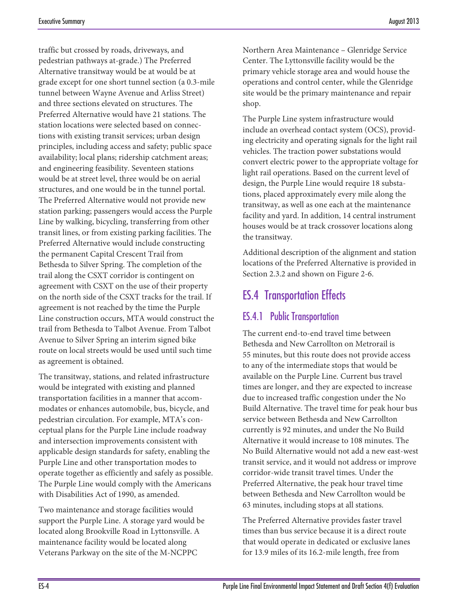traffic but crossed by roads, driveways, and pedestrian pathways at-grade.) The Preferred Alternative transitway would be at would be at grade except for one short tunnel section (a 0.3-mile tunnel between Wayne Avenue and Arliss Street) and three sections elevated on structures. The Preferred Alternative would have 21 stations. The station locations were selected based on connections with existing transit services; urban design principles, including access and safety; public space availability; local plans; ridership catchment areas; and engineering feasibility. Seventeen stations would be at street level, three would be on aerial structures, and one would be in the tunnel portal. The Preferred Alternative would not provide new station parking; passengers would access the Purple Line by walking, bicycling, transferring from other transit lines, or from existing parking facilities. The Preferred Alternative would include constructing the permanent Capital Crescent Trail from Bethesda to Silver Spring. The completion of the trail along the CSXT corridor is contingent on agreement with CSXT on the use of their property on the north side of the CSXT tracks for the trail. If agreement is not reached by the time the Purple Line construction occurs, MTA would construct the trail from Bethesda to Talbot Avenue. From Talbot Avenue to Silver Spring an interim signed bike route on local streets would be used until such time as agreement is obtained.

The transitway, stations, and related infrastructure would be integrated with existing and planned transportation facilities in a manner that accommodates or enhances automobile, bus, bicycle, and pedestrian circulation. For example, MTA's conceptual plans for the Purple Line include roadway and intersection improvements consistent with applicable design standards for safety, enabling the Purple Line and other transportation modes to operate together as efficiently and safely as possible. The Purple Line would comply with the Americans with Disabilities Act of 1990, as amended.

Two maintenance and storage facilities would support the Purple Line. A storage yard would be located along Brookville Road in Lyttonsville. A maintenance facility would be located along Veterans Parkway on the site of the M-NCPPC

Northern Area Maintenance – Glenridge Service Center. The Lyttonsville facility would be the primary vehicle storage area and would house the operations and control center, while the Glenridge site would be the primary maintenance and repair shop.

The Purple Line system infrastructure would include an overhead contact system (OCS), providing electricity and operating signals for the light rail vehicles. The traction power substations would convert electric power to the appropriate voltage for light rail operations. Based on the current level of design, the Purple Line would require 18 substations, placed approximately every mile along the transitway, as well as one each at the maintenance facility and yard. In addition, 14 central instrument houses would be at track crossover locations along the transitway.

Additional description of the alignment and station locations of the Preferred Alternative is provided in Section 2.3.2 and shown on Figure 2-6.

# ES.4 Transportation Effects

# ES.4.1 Public Transportation

The current end-to-end travel time between Bethesda and New Carrollton on Metrorail is 55 minutes, but this route does not provide access to any of the intermediate stops that would be available on the Purple Line. Current bus travel times are longer, and they are expected to increase due to increased traffic congestion under the No Build Alternative. The travel time for peak hour bus service between Bethesda and New Carrollton currently is 92 minutes, and under the No Build Alternative it would increase to 108 minutes. The No Build Alternative would not add a new east-west transit service, and it would not address or improve corridor-wide transit travel times. Under the Preferred Alternative, the peak hour travel time between Bethesda and New Carrollton would be 63 minutes, including stops at all stations.

The Preferred Alternative provides faster travel times than bus service because it is a direct route that would operate in dedicated or exclusive lanes for 13.9 miles of its 16.2-mile length, free from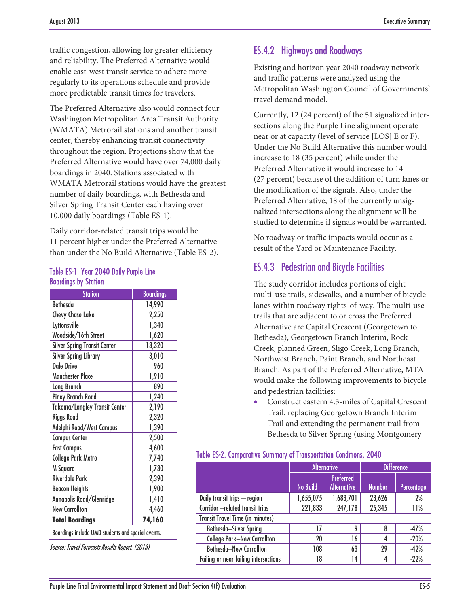traffic congestion, allowing for greater efficiency and reliability. The Preferred Alternative would enable east-west transit service to adhere more regularly to its operations schedule and provide more predictable transit times for travelers.

The Preferred Alternative also would connect four Washington Metropolitan Area Transit Authority (WMATA) Metrorail stations and another transit center, thereby enhancing transit connectivity throughout the region. Projections show that the Preferred Alternative would have over 74,000 daily boardings in 2040. Stations associated with WMATA Metrorail stations would have the greatest number of daily boardings, with Bethesda and Silver Spring Transit Center each having over 10,000 daily boardings (Table ES-1).

Daily corridor-related transit trips would be 11 percent higher under the Preferred Alternative than under the No Build Alternative (Table ES-2).

#### Table ES-1. Year 2040 Daily Purple Line Boardings by Station

| <b>Station</b>                                     | <b>Boardings</b> |  |
|----------------------------------------------------|------------------|--|
| <b>Bethesda</b>                                    | 14,990           |  |
| <b>Chevy Chase Lake</b>                            | 2,250            |  |
| Lyttonsville                                       | 1,340            |  |
| Woodside/16th Street                               | 1,620            |  |
| <b>Silver Spring Transit Center</b>                | 13,320           |  |
| <b>Silver Spring Library</b>                       | 3,010            |  |
| Dale Drive                                         | 960              |  |
| <b>Manchester Place</b>                            | 1,910            |  |
| Long Branch                                        | 890              |  |
| <b>Piney Branch Road</b>                           | 1,240            |  |
| Takoma/Langley Transit Center                      | 2,190            |  |
| <b>Riggs Road</b>                                  | 2,320            |  |
| Adelphi Road/West Campus                           | 1,390            |  |
| <b>Campus Center</b>                               | 2,500            |  |
| <b>East Campus</b>                                 | 4,600            |  |
| <b>College Park Metro</b>                          | 7,740            |  |
| M Square                                           | 1,730            |  |
| <b>Riverdale Park</b>                              | 2,390            |  |
| <b>Beacon Heights</b>                              | 1,900            |  |
| Annapolis Road/Glenridge                           | 1,410            |  |
| <b>New Carrollton</b>                              | 4,460            |  |
| <b>Total Boardings</b>                             | 74,160           |  |
| Boardings include UMD students and special events. |                  |  |

Source: Travel Forecasts Results Report, (2013)

## ES.4.2 Highways and Roadways

Existing and horizon year 2040 roadway network and traffic patterns were analyzed using the Metropolitan Washington Council of Governments' travel demand model.

Currently, 12 (24 percent) of the 51 signalized intersections along the Purple Line alignment operate near or at capacity (level of service [LOS] E or F). Under the No Build Alternative this number would increase to 18 (35 percent) while under the Preferred Alternative it would increase to 14 (27 percent) because of the addition of turn lanes or the modification of the signals. Also, under the Preferred Alternative, 18 of the currently unsignalized intersections along the alignment will be studied to determine if signals would be warranted.

No roadway or traffic impacts would occur as a result of the Yard or Maintenance Facility.

## ES.4.3 Pedestrian and Bicycle Facilities

The study corridor includes portions of eight multi-use trails, sidewalks, and a number of bicycle lanes within roadway rights-of-way. The multi-use trails that are adjacent to or cross the Preferred Alternative are Capital Crescent (Georgetown to Bethesda), Georgetown Branch Interim, Rock Creek, planned Green, Sligo Creek, Long Branch, Northwest Branch, Paint Branch, and Northeast Branch. As part of the Preferred Alternative, MTA would make the following improvements to bicycle and pedestrian facilities:

• Construct eastern 4.3-miles of Capital Crescent Trail, replacing Georgetown Branch Interim Trail and extending the permanent trail from Bethesda to Silver Spring (using Montgomery

#### Table ES-2. Comparative Summary of Transportation Conditions, 2040

|                                         | <b>Alternative</b> |                                        | <b>Difference</b> |            |
|-----------------------------------------|--------------------|----------------------------------------|-------------------|------------|
|                                         | <b>No Build</b>    | <b>Preferred</b><br><b>Alternative</b> | <b>Number</b>     | Percentage |
| Daily transit trips - region            | 1,655,075          | 1,683,701                              | 28,626            | 2%         |
| Corridor - related transit trips        | 221,833            | 247,178                                | 25,345            | 11%        |
| <b>Transit Travel Time (in minutes)</b> |                    |                                        |                   |            |
| Bethesda-Silver Spring                  | 17                 | g                                      | 8                 | $-47%$     |
| <b>College Park-New Carrollton</b>      | 20                 | 16                                     | 4                 | $-20%$     |
| <b>Bethesda-New Carrollton</b>          | 108                | 63                                     | 29                | $-42%$     |
| Failing or near failing intersections   | 18                 | 14                                     | 4                 | $-22%$     |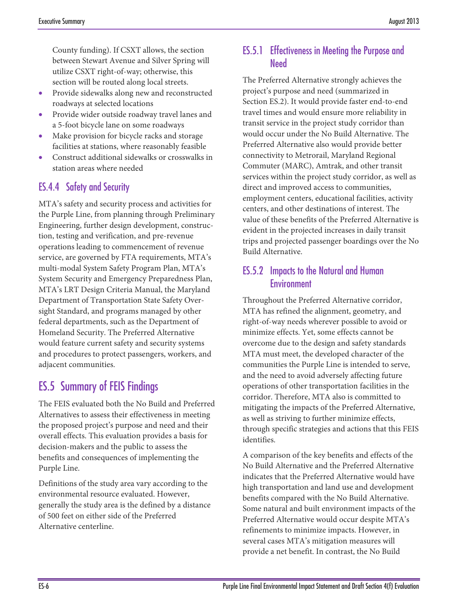County funding). If CSXT allows, the section between Stewart Avenue and Silver Spring will utilize CSXT right-of-way; otherwise, this section will be routed along local streets.

- Provide sidewalks along new and reconstructed roadways at selected locations
- Provide wider outside roadway travel lanes and a 5-foot bicycle lane on some roadways
- Make provision for bicycle racks and storage facilities at stations, where reasonably feasible
- Construct additional sidewalks or crosswalks in station areas where needed

## ES.4.4 Safety and Security

MTA's safety and security process and activities for the Purple Line, from planning through Preliminary Engineering, further design development, construction, testing and verification, and pre-revenue operations leading to commencement of revenue service, are governed by FTA requirements, MTA's multi-modal System Safety Program Plan, MTA's System Security and Emergency Preparedness Plan, MTA's LRT Design Criteria Manual, the Maryland Department of Transportation State Safety Oversight Standard, and programs managed by other federal departments, such as the Department of Homeland Security. The Preferred Alternative would feature current safety and security systems and procedures to protect passengers, workers, and adjacent communities.

# ES.5 Summary of FEIS Findings

The FEIS evaluated both the No Build and Preferred Alternatives to assess their effectiveness in meeting the proposed project's purpose and need and their overall effects. This evaluation provides a basis for decision-makers and the public to assess the benefits and consequences of implementing the Purple Line.

Definitions of the study area vary according to the environmental resource evaluated. However, generally the study area is the defined by a distance of 500 feet on either side of the Preferred Alternative centerline.

## ES.5.1 Effectiveness in Meeting the Purpose and Need

The Preferred Alternative strongly achieves the project's purpose and need (summarized in Section ES.2). It would provide faster end-to-end travel times and would ensure more reliability in transit service in the project study corridor than would occur under the No Build Alternative. The Preferred Alternative also would provide better connectivity to Metrorail, Maryland Regional Commuter (MARC), Amtrak, and other transit services within the project study corridor, as well as direct and improved access to communities, employment centers, educational facilities, activity centers, and other destinations of interest. The value of these benefits of the Preferred Alternative is evident in the projected increases in daily transit trips and projected passenger boardings over the No Build Alternative.

#### ES.5.2 Impacts to the Natural and Human Environment

Throughout the Preferred Alternative corridor, MTA has refined the alignment, geometry, and right-of-way needs wherever possible to avoid or minimize effects. Yet, some effects cannot be overcome due to the design and safety standards MTA must meet, the developed character of the communities the Purple Line is intended to serve, and the need to avoid adversely affecting future operations of other transportation facilities in the corridor. Therefore, MTA also is committed to mitigating the impacts of the Preferred Alternative, as well as striving to further minimize effects, through specific strategies and actions that this FEIS identifies.

A comparison of the key benefits and effects of the No Build Alternative and the Preferred Alternative indicates that the Preferred Alternative would have high transportation and land use and development benefits compared with the No Build Alternative. Some natural and built environment impacts of the Preferred Alternative would occur despite MTA's refinements to minimize impacts. However, in several cases MTA's mitigation measures will provide a net benefit. In contrast, the No Build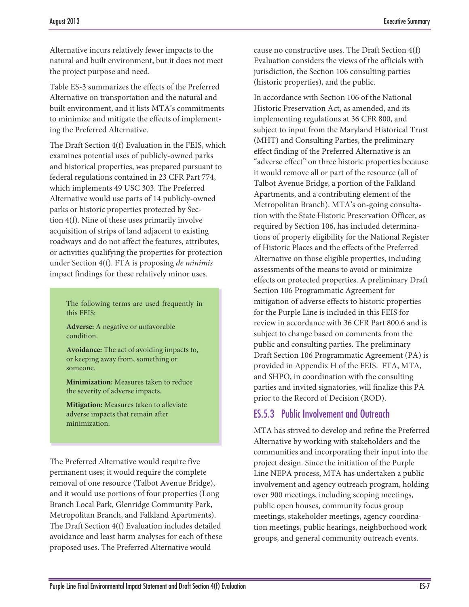Alternative incurs relatively fewer impacts to the natural and built environment, but it does not meet the project purpose and need.

Table ES-3 summarizes the effects of the Preferred Alternative on transportation and the natural and built environment, and it lists MTA's commitments to minimize and mitigate the effects of implementing the Preferred Alternative.

The Draft Section 4(f) Evaluation in the FEIS, which examines potential uses of publicly-owned parks and historical properties, was prepared pursuant to federal regulations contained in 23 CFR Part 774, which implements 49 USC 303. The Preferred Alternative would use parts of 14 publicly-owned parks or historic properties protected by Section 4(f). Nine of these uses primarily involve acquisition of strips of land adjacent to existing roadways and do not affect the features, attributes, or activities qualifying the properties for protection under Section 4(f). FTA is proposing *de minimis* impact findings for these relatively minor uses.

The following terms are used frequently in this FEIS:

**Adverse:** A negative or unfavorable condition.

**Avoidance:** The act of avoiding impacts to, or keeping away from, something or someone.

**Minimization:** Measures taken to reduce the severity of adverse impacts.

**Mitigation:** Measures taken to alleviate adverse impacts that remain after minimization.

The Preferred Alternative would require five permanent uses; it would require the complete removal of one resource (Talbot Avenue Bridge), and it would use portions of four properties (Long Branch Local Park, Glenridge Community Park, Metropolitan Branch, and Falkland Apartments). The Draft Section 4(f) Evaluation includes detailed avoidance and least harm analyses for each of these proposed uses. The Preferred Alternative would

cause no constructive uses. The Draft Section 4(f) Evaluation considers the views of the officials with jurisdiction, the Section 106 consulting parties (historic properties), and the public.

In accordance with Section 106 of the National Historic Preservation Act, as amended, and its implementing regulations at 36 CFR 800, and subject to input from the Maryland Historical Trust (MHT) and Consulting Parties, the preliminary effect finding of the Preferred Alternative is an "adverse effect" on three historic properties because it would remove all or part of the resource (all of Talbot Avenue Bridge, a portion of the Falkland Apartments, and a contributing element of the Metropolitan Branch). MTA's on-going consultation with the State Historic Preservation Officer, as required by Section 106, has included determinations of property eligibility for the National Register of Historic Places and the effects of the Preferred Alternative on those eligible properties, including assessments of the means to avoid or minimize effects on protected properties. A preliminary Draft Section 106 Programmatic Agreement for mitigation of adverse effects to historic properties for the Purple Line is included in this FEIS for review in accordance with 36 CFR Part 800.6 and is subject to change based on comments from the public and consulting parties. The preliminary Draft Section 106 Programmatic Agreement (PA) is provided in Appendix H of the FEIS. FTA, MTA, and SHPO, in coordination with the consulting parties and invited signatories, will finalize this PA prior to the Record of Decision (ROD).

## ES.5.3 Public Involvement and Outreach

MTA has strived to develop and refine the Preferred Alternative by working with stakeholders and the communities and incorporating their input into the project design. Since the initiation of the Purple Line NEPA process, MTA has undertaken a public involvement and agency outreach program, holding over 900 meetings, including scoping meetings, public open houses, community focus group meetings, stakeholder meetings, agency coordination meetings, public hearings, neighborhood work groups, and general community outreach events.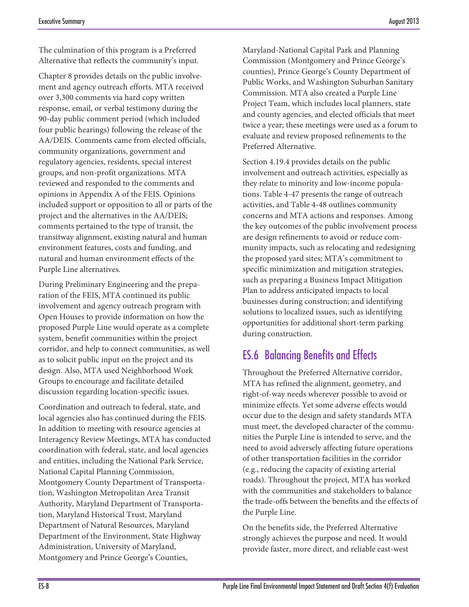The culmination of this program is a Preferred Alternative that reflects the community's input.

Chapter 8 provides details on the public involvement and agency outreach efforts. MTA received over 3,300 comments via hard copy written response, email, or verbal testimony during the 90-day public comment period (which included four public hearings) following the release of the AA/DEIS. Comments came from elected officials, community organizations, government and regulatory agencies, residents, special interest groups, and non-profit organizations. MTA reviewed and responded to the comments and opinions in Appendix A of the FEIS. Opinions included support or opposition to all or parts of the project and the alternatives in the AA/DEIS; comments pertained to the type of transit, the transitway alignment, existing natural and human environment features, costs and funding, and natural and human environment effects of the Purple Line alternatives.

During Preliminary Engineering and the preparation of the FEIS, MTA continued its public involvement and agency outreach program with Open Houses to provide information on how the proposed Purple Line would operate as a complete system, benefit communities within the project corridor, and help to connect communities, as well as to solicit public input on the project and its design. Also, MTA used Neighborhood Work Groups to encourage and facilitate detailed discussion regarding location-specific issues.

Coordination and outreach to federal, state, and local agencies also has continued during the FEIS. In addition to meeting with resource agencies at Interagency Review Meetings, MTA has conducted coordination with federal, state, and local agencies and entities, including the National Park Service, National Capital Planning Commission, Montgomery County Department of Transportation, Washington Metropolitan Area Transit Authority, Maryland Department of Transportation, Maryland Historical Trust, Maryland Department of Natural Resources, Maryland Department of the Environment, State Highway Administration, University of Maryland, Montgomery and Prince George's Counties,

Maryland-National Capital Park and Planning Commission (Montgomery and Prince George's counties), Prince George's County Department of Public Works, and Washington Suburban Sanitary Commission. MTA also created a Purple Line Project Team, which includes local planners, state and county agencies, and elected officials that meet twice a year; these meetings were used as a forum to evaluate and review proposed refinements to the Preferred Alternative.

Section 4.19.4 provides details on the public involvement and outreach activities, especially as they relate to minority and low-income populations. Table 4-47 presents the range of outreach activities, and Table 4-48 outlines community concerns and MTA actions and responses. Among the key outcomes of the public involvement process are design refinements to avoid or reduce community impacts, such as relocating and redesigning the proposed yard sites; MTA's commitment to specific minimization and mitigation strategies, such as preparing a Business Impact Mitigation Plan to address anticipated impacts to local businesses during construction; and identifying solutions to localized issues, such as identifying opportunities for additional short-term parking during construction.

# ES.6 Balancing Benefits and Effects

Throughout the Preferred Alternative corridor, MTA has refined the alignment, geometry, and right-of-way needs wherever possible to avoid or minimize effects. Yet some adverse effects would occur due to the design and safety standards MTA must meet, the developed character of the communities the Purple Line is intended to serve, and the need to avoid adversely affecting future operations of other transportation facilities in the corridor (e.g., reducing the capacity of existing arterial roads). Throughout the project, MTA has worked with the communities and stakeholders to balance the trade-offs between the benefits and the effects of the Purple Line.

On the benefits side, the Preferred Alternative strongly achieves the purpose and need. It would provide faster, more direct, and reliable east-west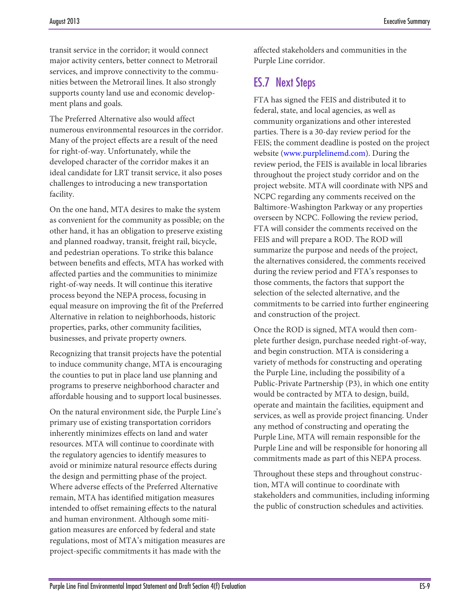transit service in the corridor; it would connect major activity centers, better connect to Metrorail services, and improve connectivity to the communities between the Metrorail lines. It also strongly supports county land use and economic development plans and goals.

The Preferred Alternative also would affect numerous environmental resources in the corridor. Many of the project effects are a result of the need for right-of-way. Unfortunately, while the developed character of the corridor makes it an ideal candidate for LRT transit service, it also poses challenges to introducing a new transportation facility.

On the one hand, MTA desires to make the system as convenient for the community as possible; on the other hand, it has an obligation to preserve existing and planned roadway, transit, freight rail, bicycle, and pedestrian operations. To strike this balance between benefits and effects, MTA has worked with affected parties and the communities to minimize right-of-way needs. It will continue this iterative process beyond the NEPA process, focusing in equal measure on improving the fit of the Preferred Alternative in relation to neighborhoods, historic properties, parks, other community facilities, businesses, and private property owners.

Recognizing that transit projects have the potential to induce community change, MTA is encouraging the counties to put in place land use planning and programs to preserve neighborhood character and affordable housing and to support local businesses.

On the natural environment side, the Purple Line's primary use of existing transportation corridors inherently minimizes effects on land and water resources. MTA will continue to coordinate with the regulatory agencies to identify measures to avoid or minimize natural resource effects during the design and permitting phase of the project. Where adverse effects of the Preferred Alternative remain, MTA has identified mitigation measures intended to offset remaining effects to the natural and human environment. Although some mitigation measures are enforced by federal and state regulations, most of MTA's mitigation measures are project-specific commitments it has made with the

affected stakeholders and communities in the Purple Line corridor.

# ES.7 Next Steps

FTA has signed the FEIS and distributed it to federal, state, and local agencies, as well as community organizations and other interested parties. There is a 30-day review period for the FEIS; the comment deadline is posted on the project website (www.purplelinemd.com). During the review period, the FEIS is available in local libraries throughout the project study corridor and on the project website. MTA will coordinate with NPS and NCPC regarding any comments received on the Baltimore-Washington Parkway or any properties overseen by NCPC. Following the review period, FTA will consider the comments received on the FEIS and will prepare a ROD. The ROD will summarize the purpose and needs of the project, the alternatives considered, the comments received during the review period and FTA's responses to those comments, the factors that support the selection of the selected alternative, and the commitments to be carried into further engineering and construction of the project.

Once the ROD is signed, MTA would then complete further design, purchase needed right-of-way, and begin construction. MTA is considering a variety of methods for constructing and operating the Purple Line, including the possibility of a Public-Private Partnership (P3), in which one entity would be contracted by MTA to design, build, operate and maintain the facilities, equipment and services, as well as provide project financing. Under any method of constructing and operating the Purple Line, MTA will remain responsible for the Purple Line and will be responsible for honoring all commitments made as part of this NEPA process.

Throughout these steps and throughout construction, MTA will continue to coordinate with stakeholders and communities, including informing the public of construction schedules and activities.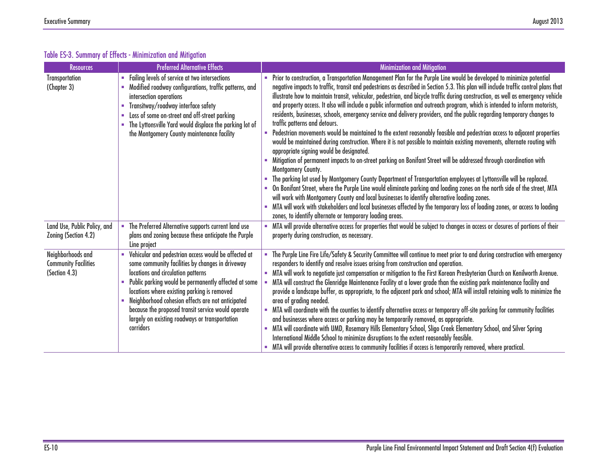| <b>Resources</b>                                                  | <b>Preferred Alternative Effects</b>                                                                                                                                                                                                                                                                                                                                                                                            | <b>Minimization and Mitigation</b>                                                                                                                                                                                                                                                                                                                                                                                                                                                                                                                                                                                                                                                                                                                                                                                                                                                                                                                                                                                                                                                                                                                                                                                                                                                                                                                                                                                                                                                                                                                                                                                                                                                     |
|-------------------------------------------------------------------|---------------------------------------------------------------------------------------------------------------------------------------------------------------------------------------------------------------------------------------------------------------------------------------------------------------------------------------------------------------------------------------------------------------------------------|----------------------------------------------------------------------------------------------------------------------------------------------------------------------------------------------------------------------------------------------------------------------------------------------------------------------------------------------------------------------------------------------------------------------------------------------------------------------------------------------------------------------------------------------------------------------------------------------------------------------------------------------------------------------------------------------------------------------------------------------------------------------------------------------------------------------------------------------------------------------------------------------------------------------------------------------------------------------------------------------------------------------------------------------------------------------------------------------------------------------------------------------------------------------------------------------------------------------------------------------------------------------------------------------------------------------------------------------------------------------------------------------------------------------------------------------------------------------------------------------------------------------------------------------------------------------------------------------------------------------------------------------------------------------------------------|
| Transportation<br>(Chapter 3)                                     | Failing levels of service at two intersections<br>Modified roadway configurations, traffic patterns, and<br>intersection operations<br>Transitway/roadway interface safety<br>ш<br>Loss of some on-street and off-street parking<br><b>COL</b><br>The Lyttonsville Yard would displace the parking lot of<br>the Montgomery County maintenance facility                                                                         | Prior to construction, a Transportation Management Plan for the Purple Line would be developed to minimize potential<br>negative impacts to traffic, transit and pedestrians as described in Section 5.3. This plan will include traffic control plans that<br>illustrate how to maintain transit, vehicular, pedestrian, and bicycle traffic during construction, as well as emergency vehicle<br>and property access. It also will include a public information and outreach program, which is intended to inform motorists,<br>residents, businesses, schools, emergency service and delivery providers, and the public regarding temporary changes to<br>traffic patterns and detours.<br>Pedestrian movements would be maintained to the extent reasonably feasible and pedestrian access to adjacent properties<br>would be maintained during construction. Where it is not possible to maintain existing movements, alternate routing with<br>appropriate signing would be designated.<br>Mitigation of permanent impacts to on-street parking on Bonifant Street will be addressed through coordination with<br>Montgomery County.<br>The parking lot used by Montgomery County Department of Transportation employees at Lyttonsville will be replaced.<br>On Bonifant Street, where the Purple Line would eliminate parking and loading zones on the north side of the street, MTA<br>will work with Montgomery County and local businesses to identify alternative loading zones.<br>MTA will work with stakeholders and local businesses affected by the temporary loss of loading zones, or access to loading<br>zones, to identify alternate or temporary loading areas. |
| Land Use, Public Policy, and<br>Zoning (Section 4.2)              | The Preferred Alternative supports current land use<br>$\blacksquare$<br>plans and zoning because these anticipate the Purple<br>Line project                                                                                                                                                                                                                                                                                   | MTA will provide alternative access for properties that would be subject to changes in access or closures of portions of their<br>property during construction, as necessary.                                                                                                                                                                                                                                                                                                                                                                                                                                                                                                                                                                                                                                                                                                                                                                                                                                                                                                                                                                                                                                                                                                                                                                                                                                                                                                                                                                                                                                                                                                          |
| Neighborhoods and<br><b>Community Facilities</b><br>(Section 4.3) | Vehicular and pedestrian access would be affected at<br>some community facilities by changes in driveway<br>locations and circulation patterns<br>Public parking would be permanently affected at some<br>locations where existing parking is removed<br>Neighborhood cohesion effects are not anticipated<br>because the proposed transit service would operate<br>largely on existing roadways or transportation<br>corridors | The Purple Line Fire Life/Safety & Security Committee will continue to meet prior to and during construction with emergency<br>responders to identify and resolve issues arising from construction and operation.<br>MTA will work to negotiate just compensation or mitigation to the First Korean Presbyterian Church on Kenilworth Avenue.<br>MTA will construct the Glenridge Maintenance Facility at a lower grade than the existing park maintenance facility and<br>provide a landscape buffer, as appropriate, to the adjacent park and school; MTA will install retaining walls to minimize the<br>area of grading needed.<br>MTA will coordinate with the counties to identify alternative access or temporary off-site parking for community facilities<br>and businesses where access or parking may be temporarily removed, as appropriate.<br>MTA will coordinate with UMD, Rosemary Hills Elementary School, Sligo Creek Elementary School, and Silver Spring<br>International Middle School to minimize disruptions to the extent reasonably feasible.<br>MTA will provide alternative access to community facilities if access is temporarily removed, where practical.                                                                                                                                                                                                                                                                                                                                                                                                                                                                                               |

#### Table ES-3. Summary of Effects - Minimization and Mitigation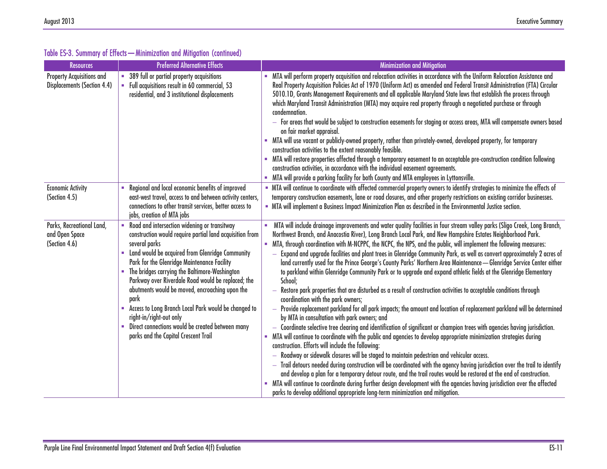| <b>Resources</b>                                                       | <b>Preferred Alternative Effects</b>                                                                                                                                                                                                                                                                                                                                                                                                                                                                                                                                              | <b>Minimization and Mitigation</b>                                                                                                                                                                                                                                                                                                                                                                                                                                                                                                                                                                                                                                                                                                                                                                                                                                                                                                                                                                                                                                                                                                                                                                                                                                                                                                                                                                                                                                                                                                                                                                                                                                                                                                                                                                                                                                                                                                                                        |
|------------------------------------------------------------------------|-----------------------------------------------------------------------------------------------------------------------------------------------------------------------------------------------------------------------------------------------------------------------------------------------------------------------------------------------------------------------------------------------------------------------------------------------------------------------------------------------------------------------------------------------------------------------------------|---------------------------------------------------------------------------------------------------------------------------------------------------------------------------------------------------------------------------------------------------------------------------------------------------------------------------------------------------------------------------------------------------------------------------------------------------------------------------------------------------------------------------------------------------------------------------------------------------------------------------------------------------------------------------------------------------------------------------------------------------------------------------------------------------------------------------------------------------------------------------------------------------------------------------------------------------------------------------------------------------------------------------------------------------------------------------------------------------------------------------------------------------------------------------------------------------------------------------------------------------------------------------------------------------------------------------------------------------------------------------------------------------------------------------------------------------------------------------------------------------------------------------------------------------------------------------------------------------------------------------------------------------------------------------------------------------------------------------------------------------------------------------------------------------------------------------------------------------------------------------------------------------------------------------------------------------------------------------|
| <b>Property Acquisitions and</b><br><b>Displacements (Section 4.4)</b> | 389 full or partial property acquisitions<br>• Full acquisitions result in 60 commercial, 53<br>residential, and 3 institutional displacements                                                                                                                                                                                                                                                                                                                                                                                                                                    | MTA will perform property acquisition and relocation activities in accordance with the Uniform Relocation Assistance and<br>Real Property Acquisition Policies Act of 1970 (Uniform Act) as amended and Federal Transit Administration (FTA) Circular<br>5010.1D, Grants Management Requirements and all applicable Maryland State laws that establish the process through<br>which Maryland Transit Administration (MTA) may acquire real property through a negotiated purchase or through<br>condemnation.<br>$-$ For areas that would be subject to construction easements for staging or access areas, MTA will compensate owners based<br>on fair market appraisal.<br>. MTA will use vacant or publicly-owned property, rather than privately-owned, developed property, for temporary<br>construction activities to the extent reasonably feasible.<br>MTA will restore properties affected through a temporary easement to an acceptable pre-construction condition following<br>construction activities, in accordance with the individual easement agreements.<br>MTA will provide a parking facility for both County and MTA employees in Lyttonsville.                                                                                                                                                                                                                                                                                                                                                                                                                                                                                                                                                                                                                                                                                                                                                                                                       |
| <b>Economic Activity</b><br>(Section 4.5)                              | Regional and local economic benefits of improved<br>east-west travel, access to and between activity centers,<br>connections to other transit services, better access to<br>jobs, creation of MTA jobs                                                                                                                                                                                                                                                                                                                                                                            | - MTA will continue to coordinate with affected commercial property owners to identify strategies to minimize the effects of<br>temporary construction easements, lane or road closures, and other property restrictions on existing corridor businesses.<br>• MTA will implement a Business Impact Minimization Plan as described in the Environmental Justice section.                                                                                                                                                                                                                                                                                                                                                                                                                                                                                                                                                                                                                                                                                                                                                                                                                                                                                                                                                                                                                                                                                                                                                                                                                                                                                                                                                                                                                                                                                                                                                                                                  |
| Parks, Recreational Land,<br>and Open Space<br>(Section 4.6)           | Road and intersection widening or transitway<br>construction would require partial land acquisition from<br>several parks<br>• Land would be acquired from Glenridge Community<br>Park for the Glenridge Maintenance Facility<br>• The bridges carrying the Baltimore-Washington<br>Parkway over Riverdale Road would be replaced; the<br>abutments would be moved, encroaching upon the<br>park<br>Access to Long Branch Local Park would be changed to<br>right-in/right-out only<br>• Direct connections would be created between many<br>parks and the Capital Crescent Trail | MTA will include drainage improvements and water quality facilities in four stream valley parks (Sligo Creek, Long Branch,<br>Northwest Branch, and Anacostia River), Long Branch Local Park, and New Hampshire Estates Neighborhood Park.<br>MTA, through coordination with M-NCPPC, the NCPC, the NPS, and the public, will implement the following measures:<br>Expand and upgrade facilities and plant trees in Glenridge Community Park, as well as convert approximately 2 acres of<br>land currently used for the Prince George's County Parks' Northern Area Maintenance-Glenridge Service Center either<br>to parkland within Glenridge Community Park or to upgrade and expand athletic fields at the Glenridge Elementary<br>School;<br>Restore park properties that are disturbed as a result of construction activities to acceptable conditions through<br>coordination with the park owners;<br>Provide replacement parkland for all park impacts; the amount and location of replacement parkland will be determined<br>by MTA in consultation with park owners; and<br>- Coordinate selective tree clearing and identification of significant or champion trees with agencies having jurisdiction.<br>. MTA will continue to coordinate with the public and agencies to develop appropriate minimization strategies during<br>construction. Efforts will include the following:<br>- Roadway or sidewalk closures will be staged to maintain pedestrian and vehicular access.<br>$-$ Trail detours needed during construction will be coordinated with the agency having jurisdiction over the trail to identify<br>and develop a plan for a temporary detour route, and the trail routes would be restored at the end of construction.<br>• MTA will continue to coordinate during further design development with the agencies having jurisdiction over the affected<br>parks to develop additional appropriate long-term minimization and mitigation. |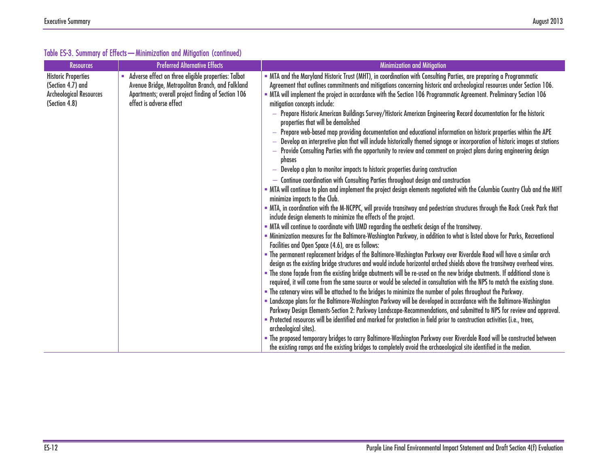| <b>Resources</b>                                                                                   | <b>Preferred Alternative Effects</b>                                                                                                                                                      | <b>Minimization and Mitigation</b>                                                                                                                                                                                                                                                                                                                                                                  |
|----------------------------------------------------------------------------------------------------|-------------------------------------------------------------------------------------------------------------------------------------------------------------------------------------------|-----------------------------------------------------------------------------------------------------------------------------------------------------------------------------------------------------------------------------------------------------------------------------------------------------------------------------------------------------------------------------------------------------|
| <b>Historic Properties</b><br>(Section 4.7) and<br><b>Archeological Resources</b><br>(Section 4.8) | Adverse effect on three eligible properties: Talbot<br>Avenue Bridge, Metropolitan Branch, and Falkland<br>Apartments; overall project finding of Section 106<br>effect is adverse effect | • MTA and the Maryland Historic Trust (MHT), in coordination with Consulting Parties, are preparing a Programmatic<br>Agreement that outlines commitments and mitigations concerning historic and archeological resources under Section 106.<br>• MTA will implement the project in accordance with the Section 106 Programmatic Agreement. Preliminary Section 106<br>mitigation concepts include: |
|                                                                                                    |                                                                                                                                                                                           | — Prepare Historic American Buildings Survey/Historic American Engineering Record documentation for the historic<br>properties that will be demolished                                                                                                                                                                                                                                              |
|                                                                                                    |                                                                                                                                                                                           | Prepare web-based map providing documentation and educational information on historic properties within the APE<br>Develop an interpretive plan that will include historically themed signage or incorporation of historic images at stations<br>Provide Consulting Parties with the opportunity to review and comment on project plans during engineering design<br>phases                         |
|                                                                                                    |                                                                                                                                                                                           | - Develop a plan to monitor impacts to historic properties during construction                                                                                                                                                                                                                                                                                                                      |
|                                                                                                    |                                                                                                                                                                                           | - Continue coordination with Consulting Parties throughout design and construction                                                                                                                                                                                                                                                                                                                  |
|                                                                                                    |                                                                                                                                                                                           | - MTA will continue to plan and implement the project design elements negotiated with the Columbia Country Club and the MHT<br>minimize impacts to the Club.                                                                                                                                                                                                                                        |
|                                                                                                    |                                                                                                                                                                                           | . MTA, in coordination with the M-NCPPC, will provide transitway and pedestrian structures through the Rock Creek Park that<br>include design elements to minimize the effects of the project.                                                                                                                                                                                                      |
|                                                                                                    |                                                                                                                                                                                           | - MTA will continue to coordinate with UMD regarding the aesthetic design of the transitway.                                                                                                                                                                                                                                                                                                        |
|                                                                                                    |                                                                                                                                                                                           | - Minimization measures for the Baltimore-Washington Parkway, in addition to what is listed above for Parks, Recreational<br>Facilities and Open Space (4.6), are as follows:                                                                                                                                                                                                                       |
|                                                                                                    |                                                                                                                                                                                           | . The permanent replacement bridges of the Baltimore-Washington Parkway over Riverdale Road will have a similar arch<br>design as the existing bridge structures and would include horizontal arched shields above the transitway overhead wires.                                                                                                                                                   |
|                                                                                                    |                                                                                                                                                                                           | . The stone façade from the existing bridge abutments will be re-used on the new bridge abutments. If additional stone is<br>required, it will come from the same source or would be selected in consultation with the NPS to match the existing stone.                                                                                                                                             |
|                                                                                                    |                                                                                                                                                                                           | . The catenary wires will be attached to the bridges to minimize the number of poles throughout the Parkway.                                                                                                                                                                                                                                                                                        |
|                                                                                                    |                                                                                                                                                                                           | " Landscape plans for the Baltimore-Washington Parkway will be developed in accordance with the Baltimore-Washington                                                                                                                                                                                                                                                                                |
|                                                                                                    |                                                                                                                                                                                           | Parkway Design Elements-Section 2: Parkway Landscape-Recommendations, and submitted to NPS for review and approval.<br>= Protected resources will be identified and marked for protection in field prior to construction activities (i.e., trees,<br>archeological sites).                                                                                                                          |
|                                                                                                    |                                                                                                                                                                                           | = The proposed temporary bridges to carry Baltimore-Washington Parkway over Riverdale Road will be constructed between<br>the existing ramps and the existing bridges to completely avoid the archaeological site identified in the median.                                                                                                                                                         |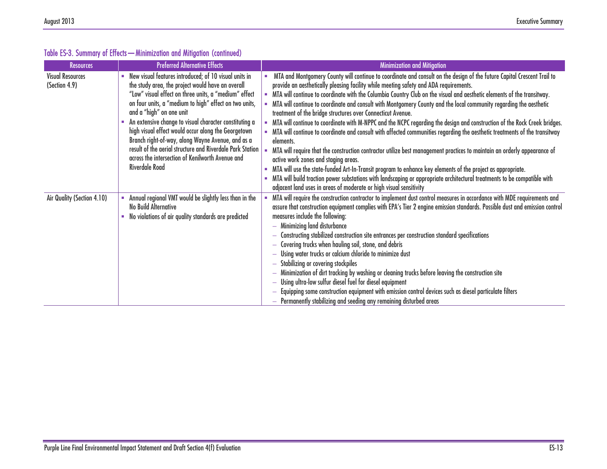| <b>Resources</b>                         | <b>Preferred Alternative Effects</b>                                                                                                                                                                                                                                                                                                                                                                                                                                                                                                                                      | Minimization and Mitigation                                                                                                                                                                                                                                                                                                                                                                                                                                                                                                                                                                                                                                                                                                                                                                                                                                                                                                                                                                                                                                                                                                                                                                                                                                                                  |
|------------------------------------------|---------------------------------------------------------------------------------------------------------------------------------------------------------------------------------------------------------------------------------------------------------------------------------------------------------------------------------------------------------------------------------------------------------------------------------------------------------------------------------------------------------------------------------------------------------------------------|----------------------------------------------------------------------------------------------------------------------------------------------------------------------------------------------------------------------------------------------------------------------------------------------------------------------------------------------------------------------------------------------------------------------------------------------------------------------------------------------------------------------------------------------------------------------------------------------------------------------------------------------------------------------------------------------------------------------------------------------------------------------------------------------------------------------------------------------------------------------------------------------------------------------------------------------------------------------------------------------------------------------------------------------------------------------------------------------------------------------------------------------------------------------------------------------------------------------------------------------------------------------------------------------|
| <b>Visual Resources</b><br>(Section 4.9) | New visual features introduced; of 10 visual units in<br>the study area, the project would have an overall<br>"Low" visual effect on three units, a "medium" effect<br>on four units, a "medium to high" effect on two units,<br>and a "high" on one unit<br>An extensive change to visual character constituting a<br>high visual effect would occur along the Georgetown<br>Branch right-of-way, along Wayne Avenue, and as a<br>result of the aerial structure and Riverdale Park Station<br>across the intersection of Kenilworth Avenue and<br><b>Riverdale Road</b> | MTA and Montgomery County will continue to coordinate and consult on the design of the future Capital Crescent Trail to<br>provide an aesthetically pleasing facility while meeting safety and ADA requirements.<br>MTA will continue to coordinate with the Columbia Country Club on the visual and aesthetic elements of the transitway.<br>MTA will continue to coordinate and consult with Montgomery County and the local community regarding the aesthetic<br>treatment of the bridge structures over Connecticut Avenue.<br>MTA will continue to coordinate with M-NPPC and the NCPC regarding the design and construction of the Rock Creek bridges.<br>MTA will continue to coordinate and consult with affected communities regarding the aesthetic treatments of the transitway<br>elements.<br>MTA will require that the construction contractor utilize best management practices to maintain an orderly appearance of<br>active work zones and staging areas.<br>MTA will use the state-funded Art-In-Transit program to enhance key elements of the project as appropriate.<br>MTA will build traction power substations with landscaping or appropriate architectural treatments to be compatible with<br>adjacent land uses in areas of moderate or high visual sensitivity |
| Air Quality (Section 4.10)               | Annual regional VMT would be slightly less than in the<br><b>No Build Alternative</b><br>No violations of air quality standards are predicted                                                                                                                                                                                                                                                                                                                                                                                                                             | MTA will require the construction contractor to implement dust control measures in accordance with MDE requirements and<br>assure that construction equipment complies with EPA's Tier 2 engine emission standards. Possible dust and emission control<br>measures include the following:<br>- Minimizing land disturbance<br>Constructing stabilized construction site entrances per construction standard specifications<br>Covering trucks when hauling soil, stone, and debris<br>Using water trucks or calcium chloride to minimize dust<br>Stabilizing or covering stockpiles<br>Minimization of dirt tracking by washing or cleaning trucks before leaving the construction site<br>Using ultra-low sulfur diesel fuel for diesel equipment<br>Equipping some construction equipment with emission control devices such as diesel particulate filters<br>- Permanently stabilizing and seeding any remaining disturbed areas                                                                                                                                                                                                                                                                                                                                                          |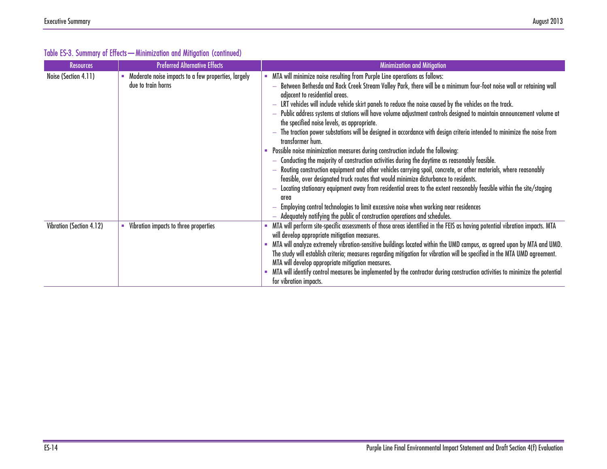| <b>Resources</b>         | <b>Preferred Alternative Effects</b>                                      | <b>Minimization and Mitigation</b>                                                                                                                                                                                                                                                                                                                                                                                                                                                                                                                                                                                                                                                                                                                                                                                                                                                                                                                                                                                                                                                                                                                                                                                                                                                                                                                                                                                                    |
|--------------------------|---------------------------------------------------------------------------|---------------------------------------------------------------------------------------------------------------------------------------------------------------------------------------------------------------------------------------------------------------------------------------------------------------------------------------------------------------------------------------------------------------------------------------------------------------------------------------------------------------------------------------------------------------------------------------------------------------------------------------------------------------------------------------------------------------------------------------------------------------------------------------------------------------------------------------------------------------------------------------------------------------------------------------------------------------------------------------------------------------------------------------------------------------------------------------------------------------------------------------------------------------------------------------------------------------------------------------------------------------------------------------------------------------------------------------------------------------------------------------------------------------------------------------|
| Noise (Section 4.11)     | Moderate noise impacts to a few properties, largely<br>due to train horns | - MTA will minimize noise resulting from Purple Line operations as follows:<br>Between Bethesda and Rock Creek Stream Valley Park, there will be a minimum four-foot noise wall or retaining wall<br>adjacent to residential areas.<br>LRT vehicles will include vehicle skirt panels to reduce the noise caused by the vehicles on the track.<br>Public address systems at stations will have volume adjustment controls designed to maintain announcement volume at<br>$\overline{\phantom{0}}$<br>the specified noise levels, as appropriate.<br>The traction power substations will be designed in accordance with design criteria intended to minimize the noise from<br>transformer hum.<br>• Possible noise minimization measures during construction include the following:<br>Conducting the majority of construction activities during the daytime as reasonably feasible.<br>$\overline{\phantom{0}}$<br>Routing construction equipment and other vehicles carrying spoil, concrete, or other materials, where reasonably<br>feasible, over designated truck routes that would minimize disturbance to residents.<br>Locating stationary equipment away from residential areas to the extent reasonably feasible within the site/staging<br>area<br>Employing control technologies to limit excessive noise when working near residences<br>Adequately notifying the public of construction operations and schedules.<br>- |
| Vibration (Section 4.12) | Vibration impacts to three properties                                     | - MTA will perform site-specific assessments of those areas identified in the FEIS as having potential vibration impacts. MTA<br>will develop appropriate mitigation measures.<br>- MTA will analyze extremely vibration-sensitive buildings located within the UMD campus, as agreed upon by MTA and UMD.<br>The study will establish criteria; measures regarding mitigation for vibration will be specified in the MTA UMD agreement.<br>MTA will develop appropriate mitigation measures.<br>MTA will identify control measures be implemented by the contractor during construction activities to minimize the potential<br>for vibration impacts.                                                                                                                                                                                                                                                                                                                                                                                                                                                                                                                                                                                                                                                                                                                                                                               |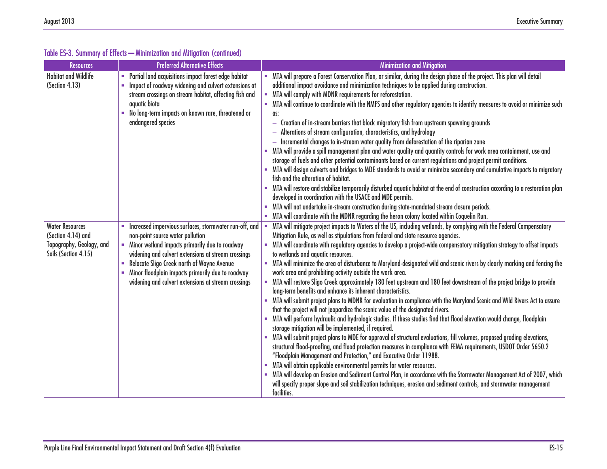| <b>Resources</b>                                 | <b>Preferred Alternative Effects</b>                                                                    | <b>Minimization and Mitigation</b>                                                                                                                                                              |
|--------------------------------------------------|---------------------------------------------------------------------------------------------------------|-------------------------------------------------------------------------------------------------------------------------------------------------------------------------------------------------|
| <b>Habitat and Wildlife</b>                      | • Partial land acquisitions impact forest edge habitat                                                  | MTA will prepare a Forest Conservation Plan, or similar, during the design phase of the project. This plan will detail                                                                          |
| (Section 4.13)                                   | • Impact of roadway widening and culvert extensions at                                                  | additional impact avoidance and minimization techniques to be applied during construction.                                                                                                      |
|                                                  | stream crossings on stream habitat, affecting fish and                                                  | MTA will comply with MDNR requirements for reforestation.                                                                                                                                       |
|                                                  | aquatic biota<br>- No long-term impacts on known rare, threatened or                                    | - MTA will continue to coordinate with the NMFS and other regulatory agencies to identify measures to avoid or minimize such                                                                    |
|                                                  | endangered species                                                                                      | as:<br>- Creation of in-stream barriers that block migratory fish from upstream spawning grounds                                                                                                |
|                                                  |                                                                                                         | - Alterations of stream configuration, characteristics, and hydrology                                                                                                                           |
|                                                  |                                                                                                         | - Incremental changes to in-stream water quality from deforestation of the riparian zone                                                                                                        |
|                                                  |                                                                                                         | MTA will provide a spill management plan and water quality and quantity controls for work area containment, use and                                                                             |
|                                                  |                                                                                                         | storage of fuels and other potential contaminants based on current regulations and project permit conditions.                                                                                   |
|                                                  |                                                                                                         | - MTA will design culverts and bridges to MDE standards to avoid or minimize secondary and cumulative impacts to migratory                                                                      |
|                                                  |                                                                                                         | fish and the alteration of habitat.                                                                                                                                                             |
|                                                  |                                                                                                         | - MTA will restore and stabilize temporarily disturbed aquatic habitat at the end of construction according to a restoration plan<br>developed in coordination with the USACE and MDE permits.  |
|                                                  |                                                                                                         | MTA will not undertake in-stream construction during state-mandated stream closure periods.                                                                                                     |
|                                                  |                                                                                                         | - MTA will coordinate with the MDNR regarding the heron colony located within Coquelin Run.                                                                                                     |
| <b>Water Resources</b>                           | • Increased impervious surfaces, stormwater run-off, and                                                | MTA will mitigate project impacts to Waters of the US, including wetlands, by complying with the Federal Compensatory<br>$\blacksquare$                                                         |
| (Section 4.14) and                               | non-point source water pollution                                                                        | Mitigation Rule, as well as stipulations from federal and state resource agencies.                                                                                                              |
| Topography, Geology, and<br>Soils (Section 4.15) | • Minor wetland impacts primarily due to roadway<br>widening and culvert extensions at stream crossings | MTA will coordinate with regulatory agencies to develop a project-wide compensatory mitigation strategy to offset impacts<br>to wetlands and aquatic resources.                                 |
|                                                  | • Relocate Sligo Creek north of Wayne Avenue                                                            | MTA will minimize the area of disturbance to Maryland-designated wild and scenic rivers by clearly marking and fencing the                                                                      |
|                                                  | • Minor floodplain impacts primarily due to roadway                                                     | work area and prohibiting activity outside the work area.                                                                                                                                       |
|                                                  | widening and culvert extensions at stream crossings                                                     | MTA will restore Sligo Creek approximately 180 feet upstream and 180 feet downstream of the project bridge to provide                                                                           |
|                                                  |                                                                                                         | long-term benefits and enhance its inherent characteristics.<br>MTA will submit project plans to MDNR for evaluation in compliance with the Maryland Scenic and Wild Rivers Act to assure       |
|                                                  |                                                                                                         | that the project will not jeopardize the scenic value of the designated rivers.                                                                                                                 |
|                                                  |                                                                                                         | MTA will perform hydraulic and hydrologic studies. If these studies find that flood elevation would change, floodplain                                                                          |
|                                                  |                                                                                                         | storage mitigation will be implemented, if required.                                                                                                                                            |
|                                                  |                                                                                                         | . MTA will submit project plans to MDE for approval of structural evaluations, fill volumes, proposed grading elevations,                                                                       |
|                                                  |                                                                                                         | structural flood-proofing, and flood protection measures in compliance with FEMA requirements, USDOT Order 5650.2                                                                               |
|                                                  |                                                                                                         | "Floodplain Management and Protection," and Executive Order 11988.                                                                                                                              |
|                                                  |                                                                                                         | MTA will obtain applicable environmental permits for water resources.<br>MTA will develop an Erosion and Sediment Control Plan, in accordance with the Stormwater Management Act of 2007, which |
|                                                  |                                                                                                         | will specify proper slope and soil stabilization techniques, erosion and sediment controls, and stormwater management                                                                           |
|                                                  |                                                                                                         | facilities.                                                                                                                                                                                     |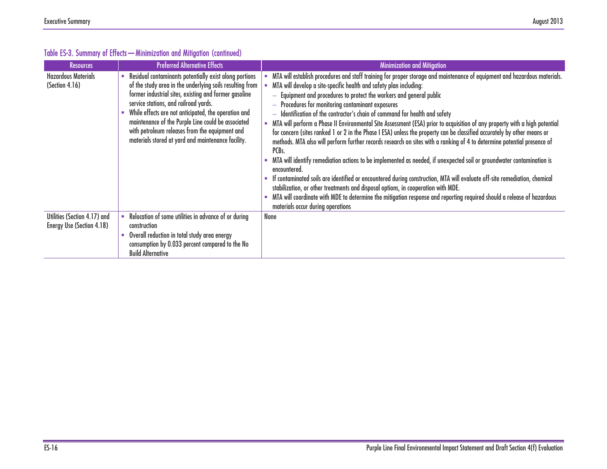| <b>Resources</b>                                          | <b>Preferred Alternative Effects</b>                                                                                                                                                                                                                                                                                                                                                                                                       | <b>Minimization and Mitigation</b>                                                                                                                                                                                                                                                                                                                                                                                                                                                                                                                                                                                                                                                                                                                                                                                                                                                                                                                                                                                                                                                                                                                                                                                                                                                                                                              |
|-----------------------------------------------------------|--------------------------------------------------------------------------------------------------------------------------------------------------------------------------------------------------------------------------------------------------------------------------------------------------------------------------------------------------------------------------------------------------------------------------------------------|-------------------------------------------------------------------------------------------------------------------------------------------------------------------------------------------------------------------------------------------------------------------------------------------------------------------------------------------------------------------------------------------------------------------------------------------------------------------------------------------------------------------------------------------------------------------------------------------------------------------------------------------------------------------------------------------------------------------------------------------------------------------------------------------------------------------------------------------------------------------------------------------------------------------------------------------------------------------------------------------------------------------------------------------------------------------------------------------------------------------------------------------------------------------------------------------------------------------------------------------------------------------------------------------------------------------------------------------------|
| <b>Hazardous Materials</b><br>(Section 4.16)              | Residual contaminants potentially exist along portions<br>of the study area in the underlying soils resulting from<br>former industrial sites, existing and former gasoline<br>service stations, and railroad yards.<br>While effects are not anticipated, the operation and<br>maintenance of the Purple Line could be associated<br>with petroleum releases from the equipment and<br>materials stored at yard and maintenance facility. | MTA will establish procedures and staff training for proper storage and maintenance of equipment and hazardous materials.<br>MTA will develop a site-specific health and safety plan including:<br>- Equipment and procedures to protect the workers and general public<br>- Procedures for monitoring contaminant exposures<br>- Identification of the contractor's chain of command for health and safety<br>MTA will perform a Phase II Environmental Site Assessment (ESA) prior to acquisition of any property with a high potential<br>for concern (sites ranked 1 or 2 in the Phase I ESA) unless the property can be classified accurately by other means or<br>methods. MTA also will perform further records research on sites with a ranking of 4 to determine potential presence of<br>PCB <sub>s</sub> .<br>MTA will identify remediation actions to be implemented as needed, if unexpected soil or groundwater contamination is<br>encountered.<br>If contaminated soils are identified or encountered during construction, MTA will evaluate off-site remediation, chemical<br>stabilization, or other treatments and disposal options, in cooperation with MDE.<br>MTA will coordinate with MDE to determine the mitigation response and reporting required should a release of hazardous<br>materials occur during operations |
| Utilities (Section 4.17) and<br>Energy Use (Section 4.18) | Relocation of some utilities in advance of or during<br><b>construction</b><br>Overall reduction in total study area energy<br>consumption by 0.033 percent compared to the No<br><b>Build Alternative</b>                                                                                                                                                                                                                                 | None                                                                                                                                                                                                                                                                                                                                                                                                                                                                                                                                                                                                                                                                                                                                                                                                                                                                                                                                                                                                                                                                                                                                                                                                                                                                                                                                            |